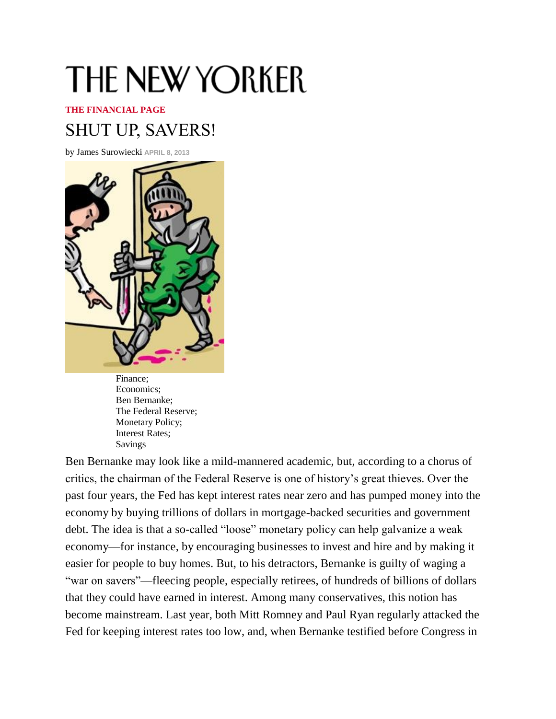## THE NEW YORKER

## **[THE FINANCIAL](https://w1.buysub.com/servlet/CSGateway?cds_mag_code=NYR) PAGE**

## [SHUT UP,](https://w1.buysub.com/loc/NYR/ATGFailsafeInt) SAVERS!

[by](http://newyorker.com/go/digitaledition) [James Surowiecki](http://www.newyorker.com/magazine/bios/james_surowiecki/search?contributorName=james%20surowiecki) **APRIL 8, 2013** 



[Finance;](http://www.newyorker.com/search/query?keyword=Finance) [Economics;](http://www.newyorker.com/search/query?keyword=Economics) [Ben Bernanke;](http://www.newyorker.com/search/query?keyword=Ben%20Bernanke) [The Federal Reserve;](http://www.newyorker.com/search/query?keyword=The%20Federal%20Reserve) [Monetary Policy;](http://www.newyorker.com/search/query?keyword=Monetary%20Policy) [Interest Rates;](http://www.newyorker.com/search/query?keyword=Interest%20Rates) [Savings](http://www.newyorker.com/search/query?keyword=Savings)

Ben Bernanke may look like a mild-mannered academic, but, according to a chorus of critics, the chairman of the Federal Reserve is one of history's great thieves. Over the past four years, the Fed has kept interest rates near zero and has pumped money into the economy by buying trillions of dollars in mortgage-backed securities and government debt. The idea is that a so-called "loose" monetary policy can help galvanize a weak economy—for instance, by encouraging businesses to invest and hire and by making it easier for people to buy homes. But, to his detractors, Bernanke is guilty of waging a "war on savers"—fleecing people, especially retirees, of hundreds of billions of dollars that they could have earned in interest. Among many conservatives, this notion has become mainstream. Last year, both Mitt Romney and Paul Ryan regularly attacked the Fed for keeping interest rates too low, and, when Bernanke testified before Congress in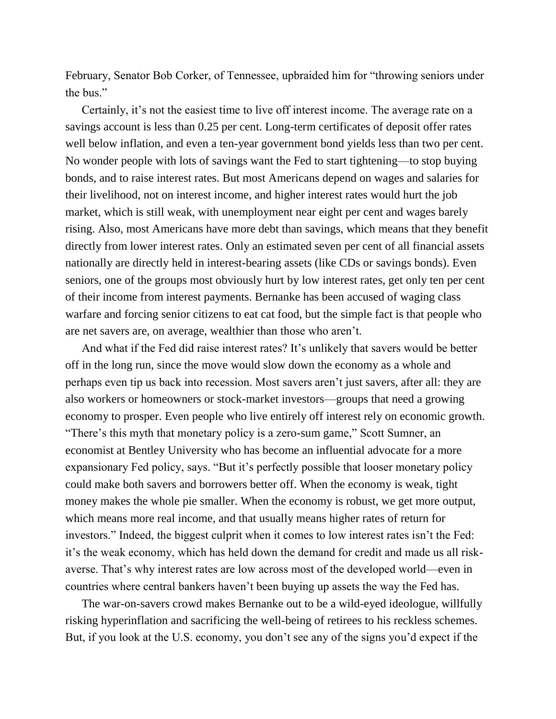February, Senator Bob Corker, of Tennessee, upbraided him for "throwing seniors under the bus."

Certainly, it's not the easiest time to live off interest income. The average rate on a savings account is less than 0.25 per cent. Long-term certificates of deposit offer rates well below inflation, and even a ten-year government bond yields less than two per cent. No wonder people with lots of savings want the Fed to start tightening—to stop buying bonds, and to raise interest rates. But most Americans depend on wages and salaries for their livelihood, not on interest income, and higher interest rates would hurt the job market, which is still weak, with unemployment near eight per cent and wages barely rising. Also, most Americans have more debt than savings, which means that they benefit directly from lower interest rates. Only an estimated seven per cent of all financial assets nationally are directly held in interest-bearing assets (like CDs or savings bonds). Even seniors, one of the groups most obviously hurt by low interest rates, get only ten per cent of their income from interest payments. Bernanke has been accused of waging class warfare and forcing senior citizens to eat cat food, but the simple fact is that people who are net savers are, on average, wealthier than those who aren't.

And what if the Fed did raise interest rates? It's unlikely that savers would be better off in the long run, since the move would slow down the economy as a whole and perhaps even tip us back into recession. Most savers aren't just savers, after all: they are also workers or homeowners or stock-market investors—groups that need a growing economy to prosper. Even people who live entirely off interest rely on economic growth. "There's this myth that monetary policy is a zero-sum game," Scott Sumner, an economist at Bentley University who has become an influential advocate for a more expansionary Fed policy, says. "But it's perfectly possible that looser monetary policy could make both savers and borrowers better off. When the economy is weak, tight money makes the whole pie smaller. When the economy is robust, we get more output, which means more real income, and that usually means higher rates of return for investors." Indeed, the biggest culprit when it comes to low interest rates isn't the Fed: it's the weak economy, which has held down the demand for credit and made us all riskaverse. That's why interest rates are low across most of the developed world—even in countries where central bankers haven't been buying up assets the way the Fed has.

The war-on-savers crowd makes Bernanke out to be a wild-eyed ideologue, willfully risking hyperinflation and sacrificing the well-being of retirees to his reckless schemes. But, if you look at the U.S. economy, you don't see any of the signs you'd expect if the